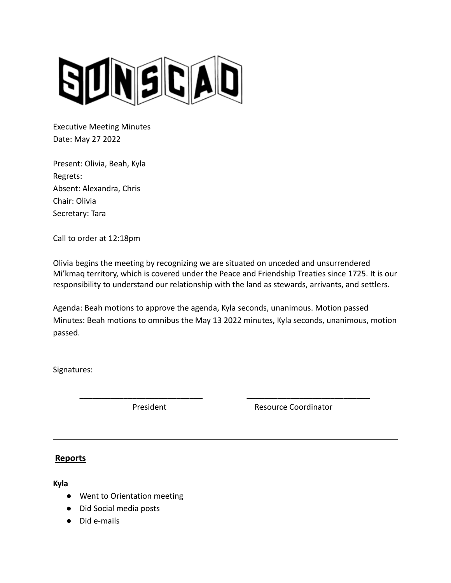

Executive Meeting Minutes Date: May 27 2022

Present: Olivia, Beah, Kyla Regrets: Absent: Alexandra, Chris Chair: Olivia Secretary: Tara

Call to order at 12:18pm

Olivia begins the meeting by recognizing we are situated on unceded and unsurrendered Mi'kmaq territory, which is covered under the Peace and Friendship Treaties since 1725. It is our responsibility to understand our relationship with the land as stewards, arrivants, and settlers.

Agenda: Beah motions to approve the agenda, Kyla seconds, unanimous. Motion passed Minutes: Beah motions to omnibus the May 13 2022 minutes, Kyla seconds, unanimous, motion passed.

\_\_\_\_\_\_\_\_\_\_\_\_\_\_\_\_\_\_\_\_\_\_\_\_\_\_\_\_ \_\_\_\_\_\_\_\_\_\_\_\_\_\_\_\_\_\_\_\_\_\_\_\_\_\_\_\_

Signatures:

President **Resource Coordinator** 

# **Reports**

**Kyla**

- Went to Orientation meeting
- Did Social media posts
- Did e-mails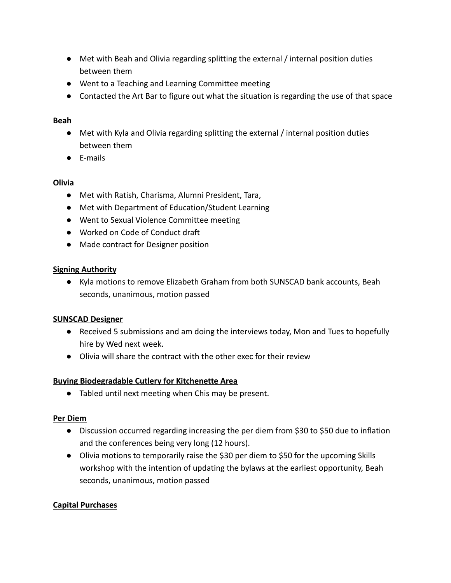- Met with Beah and Olivia regarding splitting the external / internal position duties between them
- Went to a Teaching and Learning Committee meeting
- Contacted the Art Bar to figure out what the situation is regarding the use of that space

# **Beah**

- Met with Kyla and Olivia regarding splitting the external / internal position duties between them
- E-mails

# **Olivia**

- Met with Ratish, Charisma, Alumni President, Tara,
- Met with Department of Education/Student Learning
- Went to Sexual Violence Committee meeting
- Worked on Code of Conduct draft
- Made contract for Designer position

# **Signing Authority**

● Kyla motions to remove Elizabeth Graham from both SUNSCAD bank accounts, Beah seconds, unanimous, motion passed

# **SUNSCAD Designer**

- Received 5 submissions and am doing the interviews today, Mon and Tues to hopefully hire by Wed next week.
- Olivia will share the contract with the other exec for their review

## **Buying Biodegradable Cutlery for Kitchenette Area**

● Tabled until next meeting when Chis may be present.

## **Per Diem**

- Discussion occurred regarding increasing the per diem from \$30 to \$50 due to inflation and the conferences being very long (12 hours).
- Olivia motions to temporarily raise the \$30 per diem to \$50 for the upcoming Skills workshop with the intention of updating the bylaws at the earliest opportunity, Beah seconds, unanimous, motion passed

## **Capital Purchases**